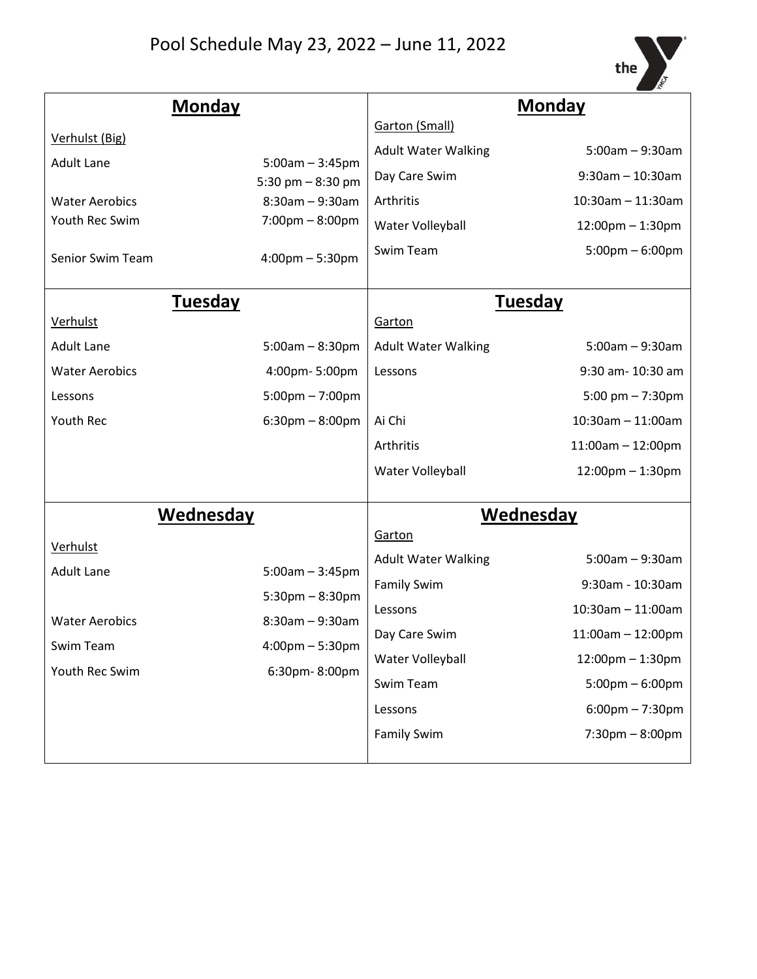

| <b>Monday</b>         |                                           | <b>Monday</b>              |                                   |
|-----------------------|-------------------------------------------|----------------------------|-----------------------------------|
|                       |                                           | <b>Garton (Small)</b>      |                                   |
| Verhulst (Big)        |                                           | <b>Adult Water Walking</b> | $5:00am - 9:30am$                 |
| <b>Adult Lane</b>     | $5:00am - 3:45pm$<br>5:30 pm $-8:30$ pm   | Day Care Swim              | $9:30$ am $-10:30$ am             |
| <b>Water Aerobics</b> | $8:30am - 9:30am$                         | Arthritis                  | $10:30$ am - 11:30am              |
| Youth Rec Swim        | $7:00 \text{pm} - 8:00 \text{pm}$         | Water Volleyball           | 12:00pm - 1:30pm                  |
| Senior Swim Team      | $4:00 \text{pm} - 5:30 \text{pm}$         | Swim Team                  | $5:00 \text{pm} - 6:00 \text{pm}$ |
| <b>Tuesday</b>        |                                           | <b>Tuesday</b>             |                                   |
| Verhulst              |                                           | Garton                     |                                   |
| <b>Adult Lane</b>     | $5:00am - 8:30pm$                         | <b>Adult Water Walking</b> | $5:00am - 9:30am$                 |
| <b>Water Aerobics</b> | 4:00pm-5:00pm                             | Lessons                    | 9:30 am- 10:30 am                 |
| Lessons               | $5:00 \text{pm} - 7:00 \text{pm}$         |                            | 5:00 pm $- 7:30$ pm               |
| Youth Rec             | $6:30$ pm $-8:00$ pm                      | Ai Chi                     | $10:30$ am $- 11:00$ am           |
|                       |                                           | Arthritis                  | $11:00am - 12:00pm$               |
|                       |                                           | Water Volleyball           | 12:00pm - 1:30pm                  |
| Wednesday             |                                           | <b>Wednesday</b>           |                                   |
|                       |                                           | Garton                     |                                   |
| Verhulst              |                                           | <b>Adult Water Walking</b> | $5:00am - 9:30am$                 |
| <b>Adult Lane</b>     | $5:00am - 3:45pm$<br>$5:30$ pm $-8:30$ pm | <b>Family Swim</b>         | 9:30am - 10:30am                  |
|                       |                                           | Lessons                    | $10:30$ am $-11:00$ am            |
| <b>Water Aerobics</b> | $8:30am - 9:30am$                         | Day Care Swim              | 11:00am - 12:00pm                 |
| Swim Team             | $4:00$ pm $-5:30$ pm<br>6:30pm-8:00pm     | Water Volleyball           | 12:00pm - 1:30pm                  |
| Youth Rec Swim        |                                           | Swim Team                  | $5:00 \text{pm} - 6:00 \text{pm}$ |
|                       |                                           | Lessons                    | $6:00$ pm $-7:30$ pm              |
|                       |                                           | <b>Family Swim</b>         | $7:30 \text{pm} - 8:00 \text{pm}$ |
|                       |                                           |                            |                                   |